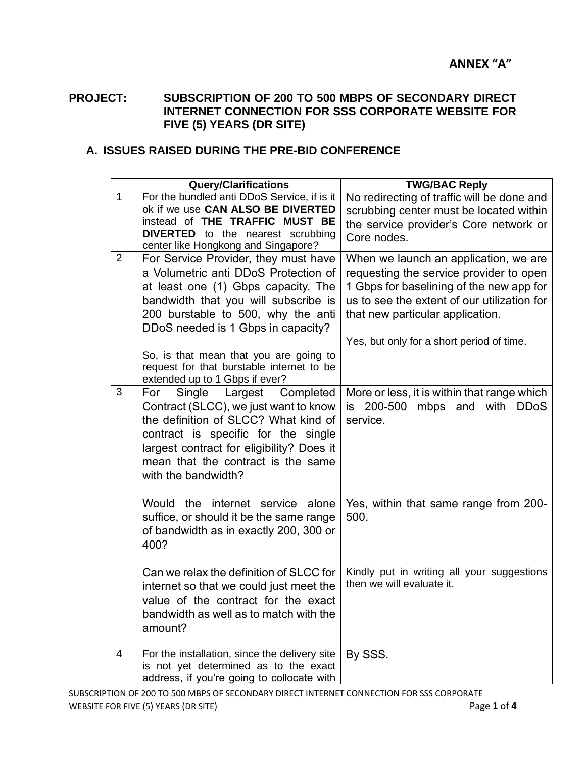## **PROJECT: SUBSCRIPTION OF 200 TO 500 MBPS OF SECONDARY DIRECT INTERNET CONNECTION FOR SSS CORPORATE WEBSITE FOR FIVE (5) YEARS (DR SITE)**

## **A. ISSUES RAISED DURING THE PRE-BID CONFERENCE**

|                | <b>Query/Clarifications</b>                                                                                                                                                                                                                                          | <b>TWG/BAC Reply</b>                                                                                                                                                                                                                                         |
|----------------|----------------------------------------------------------------------------------------------------------------------------------------------------------------------------------------------------------------------------------------------------------------------|--------------------------------------------------------------------------------------------------------------------------------------------------------------------------------------------------------------------------------------------------------------|
| $\mathbf{1}$   | For the bundled anti DDoS Service, if is it<br>ok if we use CAN ALSO BE DIVERTED<br>instead of THE TRAFFIC MUST BE<br><b>DIVERTED</b> to the nearest scrubbing<br>center like Hongkong and Singapore?                                                                | No redirecting of traffic will be done and<br>scrubbing center must be located within<br>the service provider's Core network or<br>Core nodes.                                                                                                               |
| $\overline{2}$ | For Service Provider, they must have<br>a Volumetric anti DDoS Protection of<br>at least one (1) Gbps capacity. The<br>bandwidth that you will subscribe is<br>200 burstable to 500, why the anti<br>DDoS needed is 1 Gbps in capacity?                              | When we launch an application, we are<br>requesting the service provider to open<br>1 Gbps for baselining of the new app for<br>us to see the extent of our utilization for<br>that new particular application.<br>Yes, but only for a short period of time. |
|                | So, is that mean that you are going to<br>request for that burstable internet to be<br>extended up to 1 Gbps if ever?                                                                                                                                                |                                                                                                                                                                                                                                                              |
| 3              | Largest Completed<br>Single<br>For<br>Contract (SLCC), we just want to know<br>the definition of SLCC? What kind of<br>contract is specific for the single<br>largest contract for eligibility? Does it<br>mean that the contract is the same<br>with the bandwidth? | More or less, it is within that range which<br>is 200-500 mbps and with DDoS<br>service.                                                                                                                                                                     |
|                | Would the internet service alone<br>suffice, or should it be the same range<br>of bandwidth as in exactly 200, 300 or<br>400?                                                                                                                                        | Yes, within that same range from 200-<br>500.                                                                                                                                                                                                                |
|                | Can we relax the definition of SLCC for<br>internet so that we could just meet the<br>value of the contract for the exact<br>bandwidth as well as to match with the<br>amount?                                                                                       | Kindly put in writing all your suggestions<br>then we will evaluate it.                                                                                                                                                                                      |
| 4              | For the installation, since the delivery site<br>is not yet determined as to the exact<br>address, if you're going to collocate with                                                                                                                                 | By SSS.                                                                                                                                                                                                                                                      |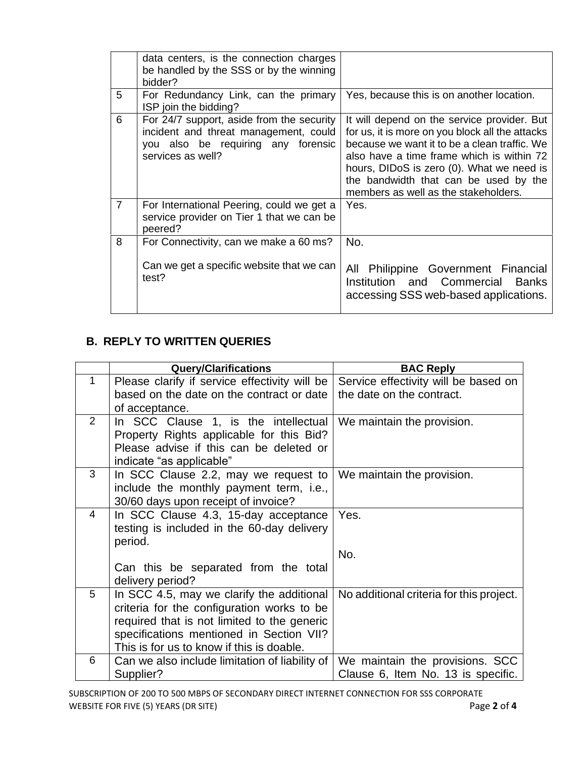|                | data centers, is the connection charges<br>be handled by the SSS or by the winning<br>bidder?                                                 |                                                                                                                                                                                                                                                                                                                           |
|----------------|-----------------------------------------------------------------------------------------------------------------------------------------------|---------------------------------------------------------------------------------------------------------------------------------------------------------------------------------------------------------------------------------------------------------------------------------------------------------------------------|
| 5              | For Redundancy Link, can the primary<br>ISP join the bidding?                                                                                 | Yes, because this is on another location.                                                                                                                                                                                                                                                                                 |
| 6              | For 24/7 support, aside from the security<br>incident and threat management, could<br>you also be requiring any forensic<br>services as well? | It will depend on the service provider. But<br>for us, it is more on you block all the attacks<br>because we want it to be a clean traffic. We<br>also have a time frame which is within 72<br>hours, DIDoS is zero (0). What we need is<br>the bandwidth that can be used by the<br>members as well as the stakeholders. |
| $\overline{7}$ | For International Peering, could we get a<br>service provider on Tier 1 that we can be<br>peered?                                             | Yes.                                                                                                                                                                                                                                                                                                                      |
| 8              | For Connectivity, can we make a 60 ms?<br>Can we get a specific website that we can<br>test?                                                  | No.<br>All Philippine Government Financial<br>Institution and Commercial<br><b>Banks</b><br>accessing SSS web-based applications.                                                                                                                                                                                         |

## **B. REPLY TO WRITTEN QUERIES**

|                | <b>Query/Clarifications</b>                    | <b>BAC Reply</b>                         |
|----------------|------------------------------------------------|------------------------------------------|
| $\mathbf{1}$   | Please clarify if service effectivity will be  | Service effectivity will be based on     |
|                | based on the date on the contract or date      | the date on the contract.                |
|                | of acceptance.                                 |                                          |
| $\overline{2}$ | In SCC Clause 1, is the intellectual           | We maintain the provision.               |
|                | Property Rights applicable for this Bid?       |                                          |
|                | Please advise if this can be deleted or        |                                          |
|                | indicate "as applicable"                       |                                          |
| 3              | In SCC Clause 2.2, may we request to           | We maintain the provision.               |
|                | include the monthly payment term, i.e.,        |                                          |
|                | 30/60 days upon receipt of invoice?            |                                          |
| 4              | In SCC Clause 4.3, 15-day acceptance           | Yes.                                     |
|                | testing is included in the 60-day delivery     |                                          |
|                | period.                                        |                                          |
|                |                                                | No.                                      |
|                | Can this be separated from the total           |                                          |
|                | delivery period?                               |                                          |
| 5              | In SCC 4.5, may we clarify the additional      | No additional criteria for this project. |
|                | criteria for the configuration works to be     |                                          |
|                | required that is not limited to the generic    |                                          |
|                | specifications mentioned in Section VII?       |                                          |
|                | This is for us to know if this is doable.      |                                          |
| 6              | Can we also include limitation of liability of | We maintain the provisions. SCC          |
|                | Supplier?                                      | Clause 6, Item No. 13 is specific.       |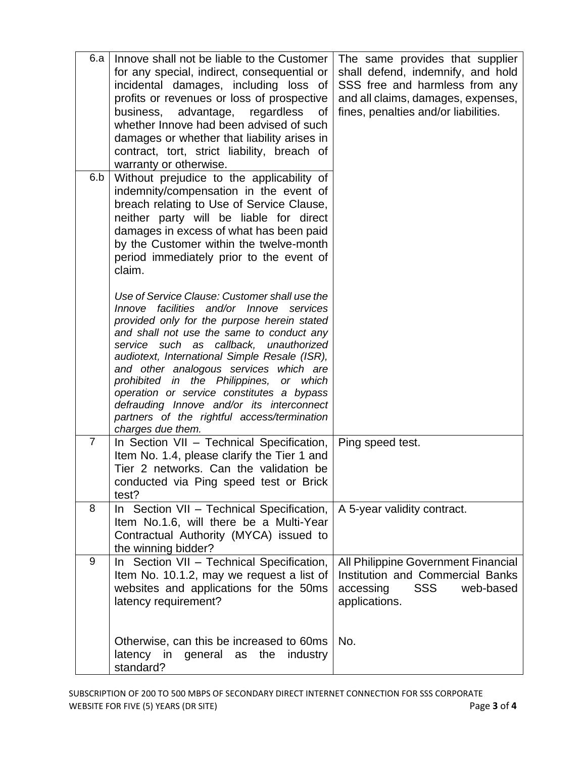| 6.a            | Innove shall not be liable to the Customer<br>for any special, indirect, consequential or<br>incidental damages, including loss of<br>profits or revenues or loss of prospective<br>business, advantage,<br>regardless<br>0f<br>whether Innove had been advised of such<br>damages or whether that liability arises in<br>contract, tort, strict liability, breach of<br>warranty or otherwise.                                                                                                                                     | The same provides that supplier<br>shall defend, indemnify, and hold<br>SSS free and harmless from any<br>and all claims, damages, expenses,<br>fines, penalties and/or liabilities. |
|----------------|-------------------------------------------------------------------------------------------------------------------------------------------------------------------------------------------------------------------------------------------------------------------------------------------------------------------------------------------------------------------------------------------------------------------------------------------------------------------------------------------------------------------------------------|--------------------------------------------------------------------------------------------------------------------------------------------------------------------------------------|
| 6.b            | Without prejudice to the applicability of<br>indemnity/compensation in the event of<br>breach relating to Use of Service Clause,<br>neither party will be liable for direct<br>damages in excess of what has been paid<br>by the Customer within the twelve-month<br>period immediately prior to the event of<br>claim.                                                                                                                                                                                                             |                                                                                                                                                                                      |
|                | Use of Service Clause: Customer shall use the<br>Innove facilities and/or Innove services<br>provided only for the purpose herein stated<br>and shall not use the same to conduct any<br>service such as callback, unauthorized<br>audiotext, International Simple Resale (ISR),<br>and other analogous services which are<br>prohibited in the Philippines, or which<br>operation or service constitutes a bypass<br>defrauding Innove and/or its interconnect<br>partners of the rightful access/termination<br>charges due them. |                                                                                                                                                                                      |
| $\overline{7}$ | In Section VII - Technical Specification,<br>Item No. 1.4, please clarify the Tier 1 and<br>Tier 2 networks. Can the validation be<br>conducted via Ping speed test or Brick<br>test?                                                                                                                                                                                                                                                                                                                                               | Ping speed test.                                                                                                                                                                     |
| 8              | In Section VII - Technical Specification,<br>Item No.1.6, will there be a Multi-Year<br>Contractual Authority (MYCA) issued to<br>the winning bidder?                                                                                                                                                                                                                                                                                                                                                                               | A 5-year validity contract.                                                                                                                                                          |
| 9              | In Section VII - Technical Specification,<br>Item No. 10.1.2, may we request a list of<br>websites and applications for the 50ms<br>latency requirement?                                                                                                                                                                                                                                                                                                                                                                            | All Philippine Government Financial<br>Institution and Commercial Banks<br>accessing<br><b>SSS</b><br>web-based<br>applications.                                                     |
|                | Otherwise, can this be increased to 60ms<br>latency<br>in general as<br>the<br>industry<br>standard?                                                                                                                                                                                                                                                                                                                                                                                                                                | No.                                                                                                                                                                                  |